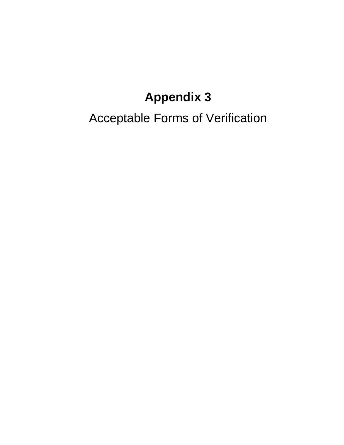# **Appendix 3**

Acceptable Forms of Verification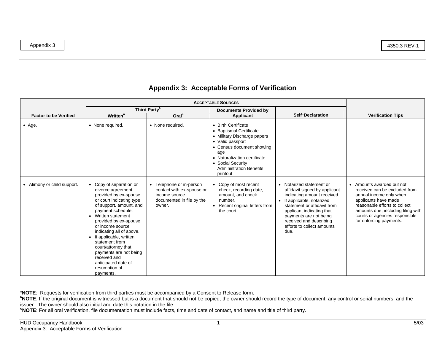| <b>Factor to be Verified</b>           | <b>Written</b> <sup>b</sup>                                                                                                                                                                                                                                                                                                                                                                                           | Third Party <sup>a</sup><br>Oral <sup>c</sup>                                                                 | <b>Documents Provided by</b><br>Applicant                                                                                                                                                                                                | Self-Declaration                                                                                                                                                                                                                                                              | <b>Verification Tips</b>                                                                                                                                                                                                                          |
|----------------------------------------|-----------------------------------------------------------------------------------------------------------------------------------------------------------------------------------------------------------------------------------------------------------------------------------------------------------------------------------------------------------------------------------------------------------------------|---------------------------------------------------------------------------------------------------------------|------------------------------------------------------------------------------------------------------------------------------------------------------------------------------------------------------------------------------------------|-------------------------------------------------------------------------------------------------------------------------------------------------------------------------------------------------------------------------------------------------------------------------------|---------------------------------------------------------------------------------------------------------------------------------------------------------------------------------------------------------------------------------------------------|
| $\bullet$ Age.                         | • None required.                                                                                                                                                                                                                                                                                                                                                                                                      | • None required.                                                                                              | • Birth Certificate<br>• Baptismal Certificate<br>• Military Discharge papers<br>• Valid passport<br>• Census document showing<br>age<br>• Naturalization certificate<br>• Social Security<br><b>Administration Benefits</b><br>printout |                                                                                                                                                                                                                                                                               |                                                                                                                                                                                                                                                   |
| Alimony or child support.<br>$\bullet$ | • Copy of separation or<br>divorce agreement<br>provided by ex-spouse<br>or court indicating type<br>of support, amount, and<br>payment schedule.<br>• Written statement<br>provided by ex-spouse<br>or income source<br>indicating all of above.<br>• If applicable, written<br>statement from<br>court/attorney that<br>payments are not being<br>received and<br>anticipated date of<br>resumption of<br>payments. | • Telephone or in-person<br>contact with ex-spouse or<br>income source<br>documented in file by the<br>owner. | • Copy of most recent<br>check, recording date,<br>amount, and check<br>number.<br>• Recent original letters from<br>the court.                                                                                                          | • Notarized statement or<br>affidavit signed by applicant<br>indicating amount received.<br>• If applicable, notarized<br>statement or affidavit from<br>applicant indicating that<br>payments are not being<br>received and describing<br>efforts to collect amounts<br>due. | • Amounts awarded but not<br>received can be excluded from<br>annual income only when<br>applicants have made<br>reasonable efforts to collect<br>amounts due, including filing with<br>courts or agencies responsible<br>for enforcing payments. |

**aNOTE**: Requests for verification from third parties must be accompanied by a Consent to Release form.

**bNOTE**: If the original document is witnessed but is a document that should not be copied, the owner should record the type of document, any control or serial numbers, and the issuer. The owner should also initial and date this notation in the file.

**cNOTE**: For all oral verification, file documentation must include facts, time and date of contact, and name and title of third party.

Appendix 3 4350.3 REV-1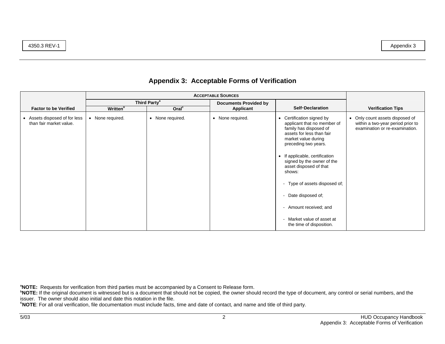|                                                          | Third Party <sup>a</sup>    |                   | <b>Documents Provided by</b> |                                                                                                                                                                                                                                                                                                                                                                                                            |                                                                                                        |
|----------------------------------------------------------|-----------------------------|-------------------|------------------------------|------------------------------------------------------------------------------------------------------------------------------------------------------------------------------------------------------------------------------------------------------------------------------------------------------------------------------------------------------------------------------------------------------------|--------------------------------------------------------------------------------------------------------|
| <b>Factor to be Verified</b>                             | <b>Written</b> <sup>b</sup> | Oral <sup>c</sup> | Applicant                    | <b>Self-Declaration</b>                                                                                                                                                                                                                                                                                                                                                                                    | <b>Verification Tips</b>                                                                               |
| • Assets disposed of for less<br>than fair market value. | • None required.            | • None required.  | • None required.             | • Certification signed by<br>applicant that no member of<br>family has disposed of<br>assets for less than fair<br>market value during<br>preceding two years.<br>If applicable, certification<br>signed by the owner of the<br>asset disposed of that<br>shows:<br>- Type of assets disposed of;<br>Date disposed of;<br>- Amount received; and<br>- Market value of asset at<br>the time of disposition. | • Only count assets disposed of<br>within a two-year period prior to<br>examination or re-examination. |

**aNOTE:** Requests for verification from third parties must be accompanied by a Consent to Release form.

**bNOTE:** If the original document is witnessed but is a document that should not be copied, the owner should record the type of document, any control or serial numbers, and the issuer. The owner should also initial and date this notation in the file.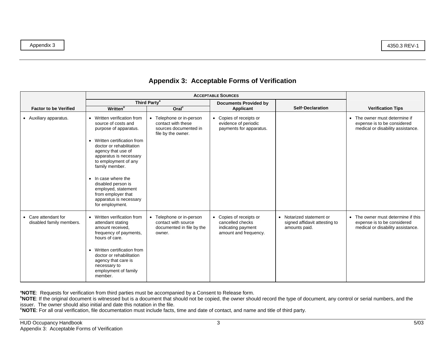|                                                  |                                                                                                                                                                                                                                                                                                                                                                          | Third Party <sup>a</sup>                                                                                 | <b>Documents Provided by</b>                                                               |                                                                            |                                                                                                                   |
|--------------------------------------------------|--------------------------------------------------------------------------------------------------------------------------------------------------------------------------------------------------------------------------------------------------------------------------------------------------------------------------------------------------------------------------|----------------------------------------------------------------------------------------------------------|--------------------------------------------------------------------------------------------|----------------------------------------------------------------------------|-------------------------------------------------------------------------------------------------------------------|
| <b>Factor to be Verified</b>                     | <b>Written</b> <sup>b</sup>                                                                                                                                                                                                                                                                                                                                              | Oral <sup>c</sup>                                                                                        | <b>Applicant</b>                                                                           | <b>Self-Declaration</b>                                                    | <b>Verification Tips</b>                                                                                          |
| • Auxiliary apparatus.                           | • Written verification from<br>source of costs and<br>purpose of apparatus.<br>• Written certification from<br>doctor or rehabilitation<br>agency that use of<br>apparatus is necessary<br>to employment of any<br>family member.<br>• In case where the<br>disabled person is<br>employed, statement<br>from employer that<br>apparatus is necessary<br>for employment. | Telephone or in-person<br>$\bullet$<br>contact with these<br>sources documented in<br>file by the owner. | • Copies of receipts or<br>evidence of periodic<br>payments for apparatus.                 |                                                                            | • The owner must determine if<br>expense is to be considered<br>medical or disability assistance.                 |
| • Care attendant for<br>disabled family members. | • Written verification from<br>attendant stating<br>amount received,<br>frequency of payments,<br>hours of care.<br>• Written certification from<br>doctor or rehabilitation<br>agency that care is<br>necessary to<br>employment of family<br>member.                                                                                                                   | Telephone or in-person<br>$\bullet$<br>contact with source<br>documented in file by the<br>owner.        | • Copies of receipts or<br>cancelled checks<br>indicating payment<br>amount and frequency. | • Notarized statement or<br>signed affidavit attesting to<br>amounts paid. | The owner must determine if this<br>$\bullet$<br>expense is to be considered<br>medical or disability assistance. |

**aNOTE**: Requests for verification from third parties must be accompanied by a Consent to Release form.

**bNOTE**: If the original document is witnessed but is a document that should not be copied, the owner should record the type of document, any control or serial numbers, and the issuer. The owner should also initial and date this notation in the file.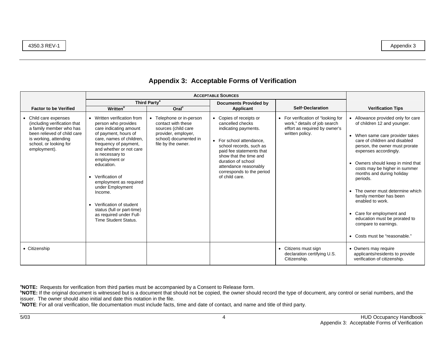| <b>Factor to be Verified</b>                                                                                                                                                       | <b>Written</b> <sup>b</sup>                                                                                                                                                                                                                                                                                                                                                                                                               | Third Party <sup>a</sup><br>Oral <sup>c</sup>                                                                                               | <b>Documents Provided by</b><br>Applicant                                                                                                                                                                                                                                      | <b>Self-Declaration</b>                                                                                                | <b>Verification Tips</b>                                                                                                                                                                                                                                                                                                                                                                                                                                                                                             |
|------------------------------------------------------------------------------------------------------------------------------------------------------------------------------------|-------------------------------------------------------------------------------------------------------------------------------------------------------------------------------------------------------------------------------------------------------------------------------------------------------------------------------------------------------------------------------------------------------------------------------------------|---------------------------------------------------------------------------------------------------------------------------------------------|--------------------------------------------------------------------------------------------------------------------------------------------------------------------------------------------------------------------------------------------------------------------------------|------------------------------------------------------------------------------------------------------------------------|----------------------------------------------------------------------------------------------------------------------------------------------------------------------------------------------------------------------------------------------------------------------------------------------------------------------------------------------------------------------------------------------------------------------------------------------------------------------------------------------------------------------|
| • Child care expenses<br>(including verification that<br>a family member who has<br>been relieved of child care<br>is working, attending<br>school, or looking for<br>employment). | • Written verification from<br>person who provides<br>care indicating amount<br>of payment, hours of<br>care, names of children,<br>frequency of payment,<br>and whether or not care<br>is necessary to<br>employment or<br>education.<br>• Verification of<br>employment as required<br>under Employment<br>Income.<br>• Verification of student<br>status (full or part-time)<br>as required under Full-<br><b>Time Student Status.</b> | • Telephone or in-person<br>contact with these<br>sources (child care<br>provider, employer,<br>school) documented in<br>file by the owner. | • Copies of receipts or<br>cancelled checks<br>indicating payments.<br>• For school attendance.<br>school records, such as<br>paid fee statements that<br>show that the time and<br>duration of school<br>attendance reasonably<br>corresponds to the period<br>of child care. | • For verification of "looking for<br>work," details of job search<br>effort as required by owner's<br>written policy. | Allowance provided only for care<br>of children 12 and younger.<br>• When same care provider takes<br>care of children and disabled<br>person, the owner must prorate<br>expenses accordingly.<br>• Owners should keep in mind that<br>costs may be higher in summer<br>months and during holiday<br>periods.<br>The owner must determine which<br>family member has been<br>enabled to work.<br>• Care for employment and<br>education must be prorated to<br>compare to earnings.<br>• Costs must be "reasonable." |
| • Citizenship                                                                                                                                                                      |                                                                                                                                                                                                                                                                                                                                                                                                                                           |                                                                                                                                             |                                                                                                                                                                                                                                                                                | • Citizens must sign<br>declaration certifying U.S.<br>Citizenship.                                                    | • Owners may require<br>applicants/residents to provide<br>verification of citizenship.                                                                                                                                                                                                                                                                                                                                                                                                                              |

**aNOTE:** Requests for verification from third parties must be accompanied by a Consent to Release form.

**bNOTE:** If the original document is witnessed but is a document that should not be copied, the owner should record the type of document, any control or serial numbers, and the issuer. The owner should also initial and date this notation in the file.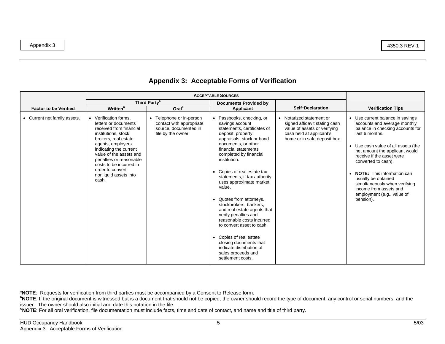| <b>Factor to be Verified</b> | <b>Written</b> <sup>b</sup>                                                                                                                                                                                                                                                                                   | Third Party <sup>a</sup><br>Oral <sup>c</sup>                                                       | <b>Documents Provided by</b><br>Applicant                                                                                                                                                                                                                                                                                                                                                                                                                                                                                                                                                                                   | <b>Self-Declaration</b>                                                                                                                               | <b>Verification Tips</b>                                                                                                                                                                                                                                                                                                                                                                                              |
|------------------------------|---------------------------------------------------------------------------------------------------------------------------------------------------------------------------------------------------------------------------------------------------------------------------------------------------------------|-----------------------------------------------------------------------------------------------------|-----------------------------------------------------------------------------------------------------------------------------------------------------------------------------------------------------------------------------------------------------------------------------------------------------------------------------------------------------------------------------------------------------------------------------------------------------------------------------------------------------------------------------------------------------------------------------------------------------------------------------|-------------------------------------------------------------------------------------------------------------------------------------------------------|-----------------------------------------------------------------------------------------------------------------------------------------------------------------------------------------------------------------------------------------------------------------------------------------------------------------------------------------------------------------------------------------------------------------------|
| • Current net family assets. | • Verification forms,<br>letters or documents<br>received from financial<br>institutions, stock<br>brokers, real estate<br>agents, employers<br>indicating the current<br>value of the assets and<br>penalties or reasonable<br>costs to be incurred in<br>order to convert<br>nonliquid assets into<br>cash. | • Telephone or in-person<br>contact with appropriate<br>source, documented in<br>file by the owner. | Passbooks, checking, or<br>savings account<br>statements, certificates of<br>deposit, property<br>appraisals, stock or bond<br>documents, or other<br>financial statements<br>completed by financial<br>institution.<br>• Copies of real estate tax<br>statements, if tax authority<br>uses approximate market<br>value.<br>• Quotes from attorneys,<br>stockbrokers, bankers,<br>and real estate agents that<br>verify penalties and<br>reasonable costs incurred<br>to convert asset to cash.<br>• Copies of real estate<br>closing documents that<br>indicate distribution of<br>sales proceeds and<br>settlement costs. | • Notarized statement or<br>signed affidavit stating cash<br>value of assets or verifying<br>cash held at applicant's<br>home or in safe deposit box. | • Use current balance in savings<br>accounts and average monthly<br>balance in checking accounts for<br>last 6 months.<br>• Use cash value of all assets (the<br>net amount the applicant would<br>receive if the asset were<br>converted to cash).<br><b>NOTE:</b> This information can<br>usually be obtained<br>simultaneously when verifying<br>income from assets and<br>employment (e.g., value of<br>pension). |

**aNOTE**: Requests for verification from third parties must be accompanied by a Consent to Release form.

**bNOTE**: If the original document is witnessed but is a document that should not be copied, the owner should record the type of document, any control or serial numbers, and the issuer. The owner should also initial and date this notation in the file.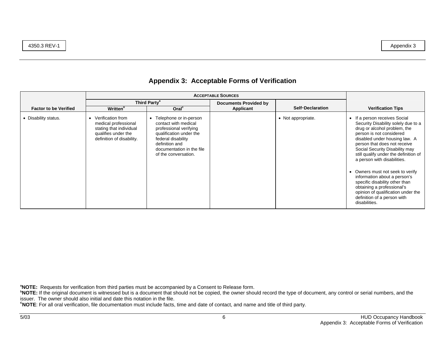| <b>Factor to be Verified</b> | <b>Written</b> <sup>b</sup>                                                                                              | Third Party <sup>a</sup><br>Oral <sup>c</sup>                                                                                                                                                                 | <b>Documents Provided by</b><br>Applicant | <b>Self-Declaration</b> | <b>Verification Tips</b>                                                                                                                                                                                                                                                                                                                                                                                                                                                                                                                                    |
|------------------------------|--------------------------------------------------------------------------------------------------------------------------|---------------------------------------------------------------------------------------------------------------------------------------------------------------------------------------------------------------|-------------------------------------------|-------------------------|-------------------------------------------------------------------------------------------------------------------------------------------------------------------------------------------------------------------------------------------------------------------------------------------------------------------------------------------------------------------------------------------------------------------------------------------------------------------------------------------------------------------------------------------------------------|
| • Disability status.         | Verification from<br>medical professional<br>stating that individual<br>qualifies under the<br>definition of disability. | Telephone or in-person<br>$\bullet$<br>contact with medical<br>professional verifying<br>qualification under the<br>federal disability<br>definition and<br>documentation in the file<br>of the conversation. |                                           | • Not appropriate.      | If a person receives Social<br>$\bullet$<br>Security Disability solely due to a<br>drug or alcohol problem, the<br>person is not considered<br>disabled under housing law. A<br>person that does not receive<br>Social Security Disability may<br>still qualify under the definition of<br>a person with disabilities.<br>Owners must not seek to verify<br>$\bullet$<br>information about a person's<br>specific disability other than<br>obtaining a professional's<br>opinion of qualification under the<br>definition of a person with<br>disabilities. |

**aNOTE:** Requests for verification from third parties must be accompanied by a Consent to Release form.

**bNOTE:** If the original document is witnessed but is a document that should not be copied, the owner should record the type of document, any control or serial numbers, and the issuer. The owner should also initial and date this notation in the file.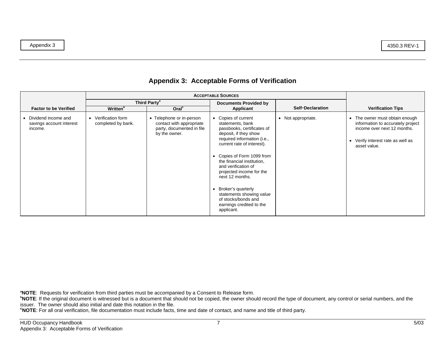|                                                              |                                           | Third Party <sup>a</sup>                                                                           | <b>Documents Provided by</b>                                                                                                                                                                                                                                                                                                                                                                                                  |                         |                                                                                                                                                         |
|--------------------------------------------------------------|-------------------------------------------|----------------------------------------------------------------------------------------------------|-------------------------------------------------------------------------------------------------------------------------------------------------------------------------------------------------------------------------------------------------------------------------------------------------------------------------------------------------------------------------------------------------------------------------------|-------------------------|---------------------------------------------------------------------------------------------------------------------------------------------------------|
| <b>Factor to be Verified</b>                                 | <b>Written</b> <sup>b</sup>               | Oral <sup>c</sup>                                                                                  | Applicant                                                                                                                                                                                                                                                                                                                                                                                                                     | <b>Self-Declaration</b> | <b>Verification Tips</b>                                                                                                                                |
| • Dividend income and<br>savings account interest<br>income. | • Verification form<br>completed by bank. | • Telephone or in-person<br>contact with appropriate<br>party, documented in file<br>by the owner. | • Copies of current<br>statements, bank<br>passbooks, certificates of<br>deposit, if they show<br>required information (i.e.,<br>current rate of interest).<br>• Copies of Form 1099 from<br>the financial institution,<br>and verification of<br>projected income for the<br>next 12 months.<br>Broker's quarterly<br>$\bullet$<br>statements showing value<br>of stocks/bonds and<br>earnings credited to the<br>applicant. | Not appropriate.        | • The owner must obtain enough<br>information to accurately project<br>income over next 12 months.<br>• Verify interest rate as well as<br>asset value. |

**aNOTE**: Requests for verification from third parties must be accompanied by a Consent to Release form.

**bNOTE**: If the original document is witnessed but is a document that should not be copied, the owner should record the type of document, any control or serial numbers, and the issuer. The owner should also initial and date this notation in the file.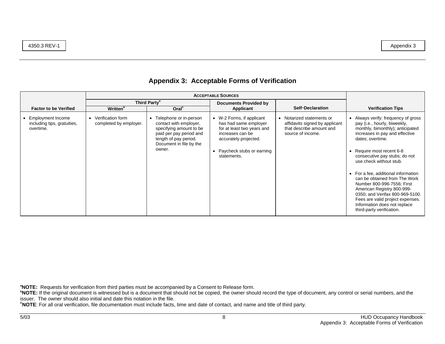|                                                                                                           |                                                                            | Third Party <sup>a</sup>                                                                                                                                                                    | <b>Documents Provided by</b>                                                                                                                                          |                                                                                                                                         |                                                                                                                                                                                                                                                                                                                                             |
|-----------------------------------------------------------------------------------------------------------|----------------------------------------------------------------------------|---------------------------------------------------------------------------------------------------------------------------------------------------------------------------------------------|-----------------------------------------------------------------------------------------------------------------------------------------------------------------------|-----------------------------------------------------------------------------------------------------------------------------------------|---------------------------------------------------------------------------------------------------------------------------------------------------------------------------------------------------------------------------------------------------------------------------------------------------------------------------------------------|
| <b>Factor to be Verified</b><br><b>Employment Income</b><br>٠<br>including tips, gratuities,<br>overtime. | <b>Written</b> <sup>b</sup><br>Verification form<br>completed by employer. | Oral <sup>c</sup><br>• Telephone or in-person<br>contact with employer,<br>specifying amount to be<br>paid per pay period and<br>length of pay period.<br>Document in file by the<br>owner. | Applicant<br>W-2 Forms, if applicant<br>has had same employer<br>for at least two years and<br>increases can be<br>accurately projected.<br>Paycheck stubs or earning | <b>Self-Declaration</b><br>• Notarized statements or<br>affidavits signed by applicant<br>that describe amount and<br>source of income. | <b>Verification Tips</b><br>Always verify: frequency of gross<br>pay (i.e., hourly, biweekly,<br>monthly, bimonthly); anticipated<br>increases in pay and effective<br>dates; overtime.<br>Require most recent 6-8                                                                                                                          |
|                                                                                                           |                                                                            |                                                                                                                                                                                             | statements.                                                                                                                                                           |                                                                                                                                         | consecutive pay stubs; do not<br>use check without stub.<br>For a fee, additional information<br>$\bullet$<br>can be obtained from The Work<br>Number 800-996-7556; First<br>American Registry 800-999-<br>0350; and Verifax 800-969-5100.<br>Fees are valid project expenses.<br>Information does not replace<br>third-party verification. |

**aNOTE:** Requests for verification from third parties must be accompanied by a Consent to Release form.

**bNOTE:** If the original document is witnessed but is a document that should not be copied, the owner should record the type of document, any control or serial numbers, and the issuer. The owner should also initial and date this notation in the file.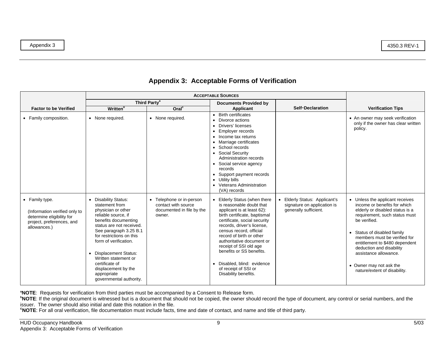| <b>Factor to be Verified</b>                                                                                              | <b>Written</b> <sup>b</sup>                                                                                                                                                                                                                                                                                                                                           | Third Party <sup>a</sup><br>Oral <sup>c</sup>                                          | <b>Documents Provided by</b><br>Applicant                                                                                                                                                                                                                                                                                                                                                                     | <b>Self-Declaration</b>                                                             | <b>Verification Tips</b>                                                                                                                                                                                                                                                                                                                                                      |
|---------------------------------------------------------------------------------------------------------------------------|-----------------------------------------------------------------------------------------------------------------------------------------------------------------------------------------------------------------------------------------------------------------------------------------------------------------------------------------------------------------------|----------------------------------------------------------------------------------------|---------------------------------------------------------------------------------------------------------------------------------------------------------------------------------------------------------------------------------------------------------------------------------------------------------------------------------------------------------------------------------------------------------------|-------------------------------------------------------------------------------------|-------------------------------------------------------------------------------------------------------------------------------------------------------------------------------------------------------------------------------------------------------------------------------------------------------------------------------------------------------------------------------|
| • Family composition.                                                                                                     | • None required.                                                                                                                                                                                                                                                                                                                                                      | • None required.                                                                       | • Birth certificates<br>Divorce actions<br>• Drivers' licenses<br>Employer records<br>• Income tax returns<br>• Marriage certificates<br>• School records<br>• Social Security<br>Administration records<br>• Social service agency<br>records<br>• Support payment records<br>• Utility bills<br>• Veterans Administration<br>(VA) records                                                                   |                                                                                     | • An owner may seek verification<br>only if the owner has clear written<br>policy.                                                                                                                                                                                                                                                                                            |
| • Family type.<br>(Information verified only to<br>determine eligibility for<br>project, preferences, and<br>allowances.) | <b>Disability Status:</b><br>statement from<br>physician or other<br>reliable source, if<br>benefits documenting<br>status are not received.<br>See paragraph 3.25 B.1<br>for restrictions on this<br>form of verification.<br><b>Displacement Status:</b><br>Written statement or<br>certificate of<br>displacement by the<br>appropriate<br>governmental authority. | • Telephone or in-person<br>contact with source<br>documented in file by the<br>owner. | • Elderly Status (when there<br>is reasonable doubt that<br>applicant is at least 62):<br>birth certificate, baptismal<br>certificate, social security<br>records, driver's license,<br>census record, official<br>record of birth or other<br>authoritative document or<br>receipt of SSI old age<br>benefits or SS benefits.<br>· Disabled, blind: evidence<br>of receipt of SSI or<br>Disability benefits. | Elderly Status: Applicant's<br>signature on application is<br>generally sufficient. | Unless the applicant receives<br>$\bullet$<br>income or benefits for which<br>elderly or disabled status is a<br>requirement, such status must<br>be verified.<br>Status of disabled family<br>members must be verified for<br>entitlement to \$480 dependent<br>deduction and disability<br>assistance allowance.<br>• Owner may not ask the<br>nature/extent of disability. |

**aNOTE**: Requests for verification from third parties must be accompanied by a Consent to Release form.

**bNOTE**: If the original document is witnessed but is a document that should not be copied, the owner should record the type of document, any control or serial numbers, and the issuer. The owner should also initial and date this notation in the file.

**cNOTE**: For all oral verification, file documentation must include facts, time and date of contact, and name and title of third party.

Appendix 3 4350.3 REV-1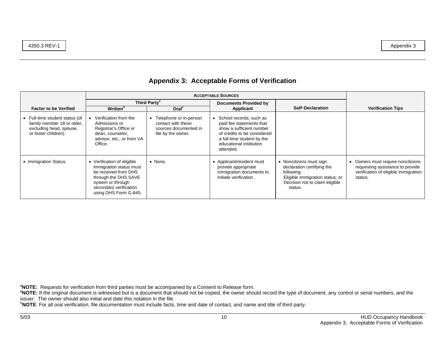|                                                                                                                 |                                                                                                                             |                                                                                             | <b>ACCEPTABLE SOURCES</b>                                                                                                                                                            |                                                       |                                                                     |
|-----------------------------------------------------------------------------------------------------------------|-----------------------------------------------------------------------------------------------------------------------------|---------------------------------------------------------------------------------------------|--------------------------------------------------------------------------------------------------------------------------------------------------------------------------------------|-------------------------------------------------------|---------------------------------------------------------------------|
| <b>Factor to be Verified</b>                                                                                    | <b>Written</b> <sup>b</sup>                                                                                                 | Third Party <sup>a</sup><br>Oral <sup>c</sup>                                               | <b>Documents Provided by</b><br>Applicant                                                                                                                                            | <b>Self-Declaration</b>                               | <b>Verification Tips</b>                                            |
| • Full-time student status (of<br>family member 18 or older,<br>excluding head, spouse,<br>or foster children). | Verification from the<br>Admissions or<br>Registrar's Office or<br>dean, counselor,<br>advisor, etc., or from VA<br>Office. | Telephone or in-person<br>contact with these<br>sources documented in<br>file by the owner. | School records, such as<br>paid fee statements that<br>show a sufficient number<br>of credits to be considered<br>a full-time student by the<br>educational institution<br>attended. |                                                       |                                                                     |
| • Immigration Status.                                                                                           | Verification of eligible<br>immigration status must                                                                         | $\bullet$ None.                                                                             | • Applicant/resident must<br>provide appropriate                                                                                                                                     | • Noncitizens must sign<br>declaration certifying the | Owners must require noncitizens<br>requesting assistance to provide |

immigration documents to initiate verification.

following:

status.

Eligible immigration status; or Decision not to claim eligible

**aNOTE:** Requests for verification from third parties must be accompanied by a Consent to Release form.

be received from DHS through the DHS SAVE system or through secondary verification using DHS Form G-845.

**bNOTE:** If the original document is witnessed but is a document that should not be copied, the owner should record the type of document, any control or serial numbers, and the issuer. The owner should also initial and date this notation in the file.

**cNOTE**: For all oral verification, file documentation must include facts, time and date of contact, and name and title of third party.

verification of eligible immigration

status.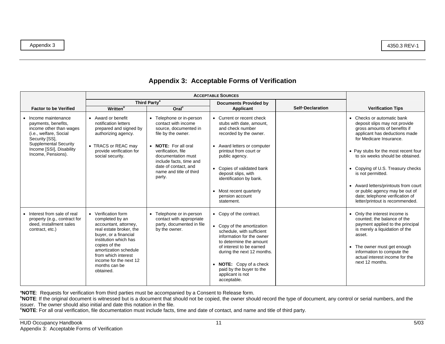|                                                                                                                                                                                                      |                                                                                                                                                                                                                                                                       | <b>ACCEPTABLE SOURCES</b>                                                                                                                                                                                                                                  |                                                                                                                                                                                                                                                                                                                          |                         |                                                                                                                                                                                                                                                                                                                                                                                                                                                          |
|------------------------------------------------------------------------------------------------------------------------------------------------------------------------------------------------------|-----------------------------------------------------------------------------------------------------------------------------------------------------------------------------------------------------------------------------------------------------------------------|------------------------------------------------------------------------------------------------------------------------------------------------------------------------------------------------------------------------------------------------------------|--------------------------------------------------------------------------------------------------------------------------------------------------------------------------------------------------------------------------------------------------------------------------------------------------------------------------|-------------------------|----------------------------------------------------------------------------------------------------------------------------------------------------------------------------------------------------------------------------------------------------------------------------------------------------------------------------------------------------------------------------------------------------------------------------------------------------------|
| <b>Factor to be Verified</b>                                                                                                                                                                         | <b>Written</b> <sup>b</sup>                                                                                                                                                                                                                                           | Third Party <sup>a</sup><br>Oral <sup>c</sup>                                                                                                                                                                                                              | <b>Documents Provided by</b><br>Applicant                                                                                                                                                                                                                                                                                | <b>Self-Declaration</b> | <b>Verification Tips</b>                                                                                                                                                                                                                                                                                                                                                                                                                                 |
| • Income maintenance<br>payments, benefits,<br>income other than wages<br>(i.e., welfare, Social<br>Security [SS],<br><b>Supplemental Security</b><br>Income [SSI], Disability<br>Income, Pensions). | • Award or benefit<br>notification letters<br>prepared and signed by<br>authorizing agency.<br>• TRACS or REAC may<br>provide verification for<br>social security.                                                                                                    | • Telephone or in-person<br>contact with income<br>source, documented in<br>file by the owner.<br>• NOTE: For all oral<br>verification, file<br>documentation must<br>include facts, time and<br>date of contact, and<br>name and title of third<br>party. | • Current or recent check<br>stubs with date, amount,<br>and check number<br>recorded by the owner.<br>• Award letters or computer<br>printout from court or<br>public agency.<br>Copies of validated bank<br>deposit slips, with<br>identification by bank.<br>• Most recent quarterly<br>pension account<br>statement. |                         | • Checks or automatic bank<br>deposit slips may not provide<br>gross amounts of benefits if<br>applicant has deductions made<br>for Medicare Insurance.<br>• Pay stubs for the most recent four<br>to six weeks should be obtained.<br>Copying of U.S. Treasury checks<br>$\bullet$<br>is not permitted.<br>• Award letters/printouts from court<br>or public agency may be out of<br>date; telephone verification of<br>letter/printout is recommended. |
| • Interest from sale of real<br>property (e.g., contract for<br>deed, installment sales<br>contract, etc.)                                                                                           | • Verification form<br>completed by an<br>accountant, attorney,<br>real estate broker, the<br>buyer, or a financial<br>institution which has<br>copies of the<br>amortization schedule<br>from which interest<br>income for the next 12<br>months can be<br>obtained. | • Telephone or in-person<br>contact with appropriate<br>party, documented in file<br>by the owner.                                                                                                                                                         | • Copy of the contract.<br>• Copy of the amortization<br>schedule, with sufficient<br>information for the owner<br>to determine the amount<br>of interest to be earned<br>during the next 12 months.<br>• NOTE: Copy of a check<br>paid by the buyer to the<br>applicant is not<br>acceptable.                           |                         | • Only the interest income is<br>counted: the balance of the<br>payment applied to the principal<br>is merely a liquidation of the<br>asset.<br>• The owner must get enough<br>information to compute the<br>actual interest income for the<br>next 12 months.                                                                                                                                                                                           |

**aNOTE**: Requests for verification from third parties must be accompanied by a Consent to Release form.

**bNOTE**: If the original document is witnessed but is a document that should not be copied, the owner should record the type of document, any control or serial numbers, and the issuer. The owner should also initial and date this notation in the file.

**cNOTE**: For all oral verification, file documentation must include facts, time and date of contact, and name and title of third party.

Appendix 3 4350.3 REV-1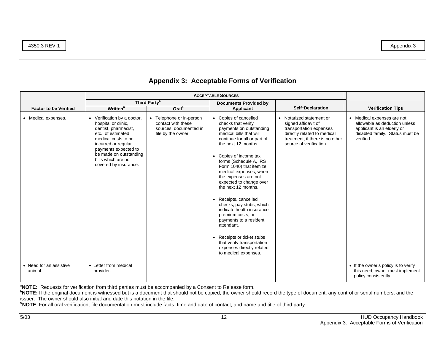| <b>Factor to be Verified</b>       | <b>Written</b> <sup>b</sup>                                                                                                                                                                                                                      | Third Party <sup>a</sup><br>Oral <sup>c</sup>                                                  | <b>Documents Provided by</b><br>Applicant                                                                                                                                                                                                                                                                                                                                                                                                                                                                                                                                                                                        | <b>Self-Declaration</b>                                                                                                                                                 | <b>Verification Tips</b>                                                                                                                  |
|------------------------------------|--------------------------------------------------------------------------------------------------------------------------------------------------------------------------------------------------------------------------------------------------|------------------------------------------------------------------------------------------------|----------------------------------------------------------------------------------------------------------------------------------------------------------------------------------------------------------------------------------------------------------------------------------------------------------------------------------------------------------------------------------------------------------------------------------------------------------------------------------------------------------------------------------------------------------------------------------------------------------------------------------|-------------------------------------------------------------------------------------------------------------------------------------------------------------------------|-------------------------------------------------------------------------------------------------------------------------------------------|
| • Medical expenses.                | • Verification by a doctor,<br>hospital or clinic,<br>dentist, pharmacist,<br>etc., of estimated<br>medical costs to be<br>incurred or regular<br>payments expected to<br>be made on outstanding<br>bills which are not<br>covered by insurance. | • Telephone or in-person<br>contact with these<br>sources, documented in<br>file by the owner. | • Copies of cancelled<br>checks that verify<br>payments on outstanding<br>medical bills that will<br>continue for all or part of<br>the next 12 months.<br>Copies of income tax<br>$\bullet$<br>forms (Schedule A, IRS<br>Form 1040) that itemize<br>medical expenses, when<br>the expenses are not<br>expected to change over<br>the next 12 months.<br>• Receipts, cancelled<br>checks, pay stubs, which<br>indicate health insurance<br>premium costs, or<br>payments to a resident<br>attendant.<br>Receipts or ticket stubs<br>$\bullet$<br>that verify transportation<br>expenses directly related<br>to medical expenses. | • Notarized statement or<br>signed affidavit of<br>transportation expenses<br>directly related to medical<br>treatment, if there is no other<br>source of verification. | • Medical expenses are not<br>allowable as deduction unless<br>applicant is an elderly or<br>disabled family. Status must be<br>verified. |
| • Need for an assistive<br>animal. | • Letter from medical<br>provider.                                                                                                                                                                                                               |                                                                                                |                                                                                                                                                                                                                                                                                                                                                                                                                                                                                                                                                                                                                                  |                                                                                                                                                                         | • If the owner's policy is to verify<br>this need, owner must implement<br>policy consistently.                                           |

**aNOTE:** Requests for verification from third parties must be accompanied by a Consent to Release form.

**bNOTE:** If the original document is witnessed but is a document that should not be copied, the owner should record the type of document, any control or serial numbers, and the issuer. The owner should also initial and date this notation in the file.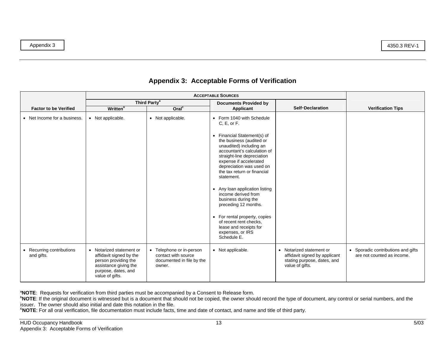|                                         | <b>ACCEPTABLE SOURCES</b>                                                                                                                      |                                                                                        |                                                                                                                                                                                                                                                                                                                                                                                                        |                                                                                                             |                                                                             |
|-----------------------------------------|------------------------------------------------------------------------------------------------------------------------------------------------|----------------------------------------------------------------------------------------|--------------------------------------------------------------------------------------------------------------------------------------------------------------------------------------------------------------------------------------------------------------------------------------------------------------------------------------------------------------------------------------------------------|-------------------------------------------------------------------------------------------------------------|-----------------------------------------------------------------------------|
| <b>Factor to be Verified</b>            | <b>Written</b> <sup>b</sup>                                                                                                                    | Third Party <sup>a</sup><br>Oral <sup>c</sup>                                          | <b>Documents Provided by</b><br>Applicant                                                                                                                                                                                                                                                                                                                                                              | <b>Self-Declaration</b>                                                                                     | <b>Verification Tips</b>                                                    |
| • Net Income for a business.            | • Not applicable.                                                                                                                              | • Not applicable.                                                                      | • Form 1040 with Schedule<br>C, E, or F.<br>• Financial Statement(s) of<br>the business (audited or<br>unaudited) including an<br>accountant's calculation of<br>straight-line depreciation<br>expense if accelerated<br>depreciation was used on<br>the tax return or financial<br>statement.<br>• Any loan application listing<br>income derived from<br>business during the<br>preceding 12 months. |                                                                                                             |                                                                             |
|                                         |                                                                                                                                                |                                                                                        | • For rental property, copies<br>of recent rent checks.<br>lease and receipts for<br>expenses, or IRS<br>Schedule E.                                                                                                                                                                                                                                                                                   |                                                                                                             |                                                                             |
| • Recurring contributions<br>and gifts. | • Notarized statement or<br>affidavit signed by the<br>person providing the<br>assistance giving the<br>purpose, dates, and<br>value of gifts. | • Telephone or in-person<br>contact with source<br>documented in file by the<br>owner. | • Not applicable.                                                                                                                                                                                                                                                                                                                                                                                      | • Notarized statement or<br>affidavit signed by applicant<br>stating purpose, dates, and<br>value of gifts. | Sporadic contributions and gifts<br>$\bullet$<br>are not counted as income. |

**aNOTE**: Requests for verification from third parties must be accompanied by a Consent to Release form.

**bNOTE**: If the original document is witnessed but is a document that should not be copied, the owner should record the type of document, any control or serial numbers, and the issuer. The owner should also initial and date this notation in the file.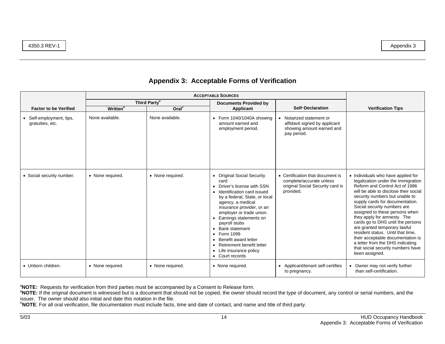|                                              | <b>ACCEPTABLE SOURCES</b>   |                          |                                                                                                                                                                                                                                                                                                                                                                                             |                                                                                                               |                                                                                                                                                                                                                                                                                                                                                                                                                                                                                                                                                                    |
|----------------------------------------------|-----------------------------|--------------------------|---------------------------------------------------------------------------------------------------------------------------------------------------------------------------------------------------------------------------------------------------------------------------------------------------------------------------------------------------------------------------------------------|---------------------------------------------------------------------------------------------------------------|--------------------------------------------------------------------------------------------------------------------------------------------------------------------------------------------------------------------------------------------------------------------------------------------------------------------------------------------------------------------------------------------------------------------------------------------------------------------------------------------------------------------------------------------------------------------|
|                                              |                             | Third Party <sup>a</sup> | <b>Documents Provided by</b>                                                                                                                                                                                                                                                                                                                                                                |                                                                                                               |                                                                                                                                                                                                                                                                                                                                                                                                                                                                                                                                                                    |
| <b>Factor to be Verified</b>                 | <b>Written</b> <sup>b</sup> | Oral <sup>c</sup>        | Applicant                                                                                                                                                                                                                                                                                                                                                                                   | <b>Self-Declaration</b>                                                                                       | <b>Verification Tips</b>                                                                                                                                                                                                                                                                                                                                                                                                                                                                                                                                           |
| • Self-employment, tips,<br>gratuities, etc. | None available.             | None available.          | Form 1040/1040A showing<br>amount earned and<br>employment period.                                                                                                                                                                                                                                                                                                                          | Notarized statement or<br>affidavit signed by applicant<br>showing amount earned and<br>pay period.           |                                                                                                                                                                                                                                                                                                                                                                                                                                                                                                                                                                    |
| • Social security number.                    | • None required.            | • None required.         | • Original Social Security<br>card<br>Driver's license with SSN<br>Identification card issued<br>by a federal, State, or local<br>agency, a medical<br>insurance provider, or an<br>employer or trade union.<br>Earnings statements on<br>payroll stubs<br>• Bank statement<br>Form 1099<br>Benefit award letter<br>Retirement benefit letter<br>• Life insurance policy<br>• Court records | • Certification that document is<br>complete/accurate unless<br>original Social Security card is<br>provided. | • Individuals who have applied for<br>legalization under the Immigration<br>Reform and Control Act of 1986<br>will be able to disclose their social<br>security numbers but unable to<br>supply cards for documentation.<br>Social security numbers are<br>assigned to these persons when<br>they apply for amnesty. The<br>cards go to DHS until the persons<br>are granted temporary lawful<br>resident status. Until that time,<br>their acceptable documentation is<br>a letter from the DHS indicating<br>that social security numbers have<br>been assigned. |
| • Unborn children.                           | • None required.            | • None required.         | • None required.                                                                                                                                                                                                                                                                                                                                                                            | • Applicant/tenant self-certifies<br>to pregnancy.                                                            | Owner may not verify further<br>than self-certification.                                                                                                                                                                                                                                                                                                                                                                                                                                                                                                           |

**aNOTE:** Requests for verification from third parties must be accompanied by a Consent to Release form.

**bNOTE:** If the original document is witnessed but is a document that should not be copied, the owner should record the type of document, any control or serial numbers, and the issuer. The owner should also initial and date this notation in the file.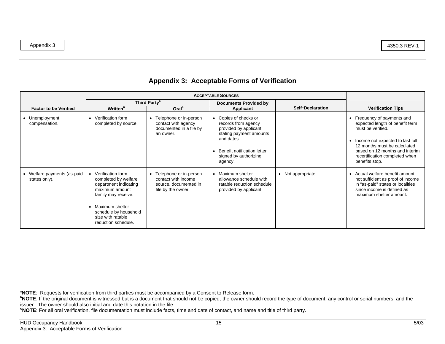|                                              | <b>ACCEPTABLE SOURCES</b>                                                                                                                                                                             |                                                                                                |                                                                                                                                                                                 |                         |                                                                                                                                                                                                                                                  |
|----------------------------------------------|-------------------------------------------------------------------------------------------------------------------------------------------------------------------------------------------------------|------------------------------------------------------------------------------------------------|---------------------------------------------------------------------------------------------------------------------------------------------------------------------------------|-------------------------|--------------------------------------------------------------------------------------------------------------------------------------------------------------------------------------------------------------------------------------------------|
| <b>Factor to be Verified</b>                 | <b>Written</b> <sup>b</sup>                                                                                                                                                                           | Third Party <sup>a</sup><br>Oral <sup>c</sup>                                                  | <b>Documents Provided by</b><br>Applicant                                                                                                                                       | <b>Self-Declaration</b> | <b>Verification Tips</b>                                                                                                                                                                                                                         |
| Unemployment<br>compensation.                | • Verification form<br>completed by source.                                                                                                                                                           | Telephone or in-person<br>contact with agency<br>documented in a file by<br>an owner.          | Copies of checks or<br>records from agency<br>provided by applicant<br>stating payment amounts<br>and dates.<br>Benefit notification letter<br>signed by authorizing<br>agency. |                         | Frequency of payments and<br>٠<br>expected length of benefit term<br>must be verified.<br>Income not expected to last full<br>12 months must be calculated<br>based on 12 months and interim<br>recertification completed when<br>benefits stop. |
| • Welfare payments (as-paid<br>states only). | • Verification form<br>completed by welfare<br>department indicating<br>maximum amount<br>family may receive.<br>Maximum shelter<br>schedule by household<br>size with ratable<br>reduction schedule. | • Telephone or in-person<br>contact with income<br>source, documented in<br>file by the owner. | Maximum shelter<br>allowance schedule with<br>ratable reduction schedule<br>provided by applicant.                                                                              | • Not appropriate.      | Actual welfare benefit amount<br>$\bullet$<br>not sufficient as proof of income<br>in "as-paid" states or localities<br>since income is defined as<br>maximum shelter amount.                                                                    |

**aNOTE**: Requests for verification from third parties must be accompanied by a Consent to Release form.

**bNOTE**: If the original document is witnessed but is a document that should not be copied, the owner should record the type of document, any control or serial numbers, and the issuer. The owner should also initial and date this notation in the file.